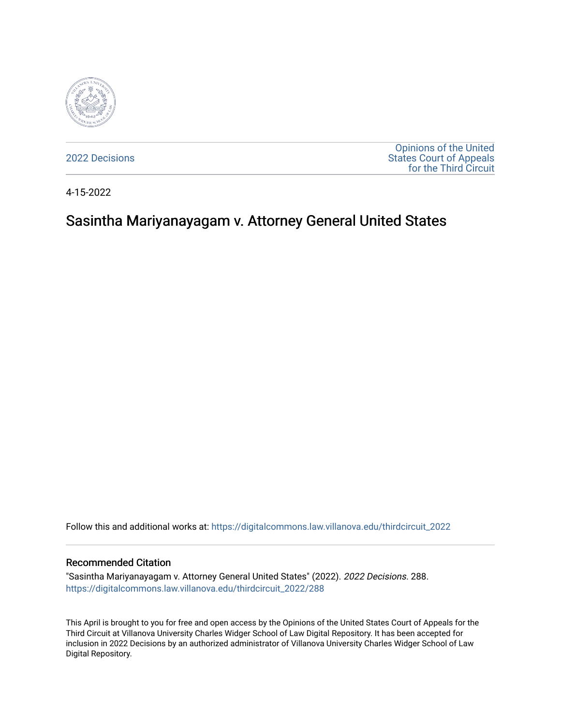

[2022 Decisions](https://digitalcommons.law.villanova.edu/thirdcircuit_2022)

[Opinions of the United](https://digitalcommons.law.villanova.edu/thirdcircuit)  [States Court of Appeals](https://digitalcommons.law.villanova.edu/thirdcircuit)  [for the Third Circuit](https://digitalcommons.law.villanova.edu/thirdcircuit) 

4-15-2022

# Sasintha Mariyanayagam v. Attorney General United States

Follow this and additional works at: [https://digitalcommons.law.villanova.edu/thirdcircuit\\_2022](https://digitalcommons.law.villanova.edu/thirdcircuit_2022?utm_source=digitalcommons.law.villanova.edu%2Fthirdcircuit_2022%2F288&utm_medium=PDF&utm_campaign=PDFCoverPages) 

#### Recommended Citation

"Sasintha Mariyanayagam v. Attorney General United States" (2022). 2022 Decisions. 288. [https://digitalcommons.law.villanova.edu/thirdcircuit\\_2022/288](https://digitalcommons.law.villanova.edu/thirdcircuit_2022/288?utm_source=digitalcommons.law.villanova.edu%2Fthirdcircuit_2022%2F288&utm_medium=PDF&utm_campaign=PDFCoverPages)

This April is brought to you for free and open access by the Opinions of the United States Court of Appeals for the Third Circuit at Villanova University Charles Widger School of Law Digital Repository. It has been accepted for inclusion in 2022 Decisions by an authorized administrator of Villanova University Charles Widger School of Law Digital Repository.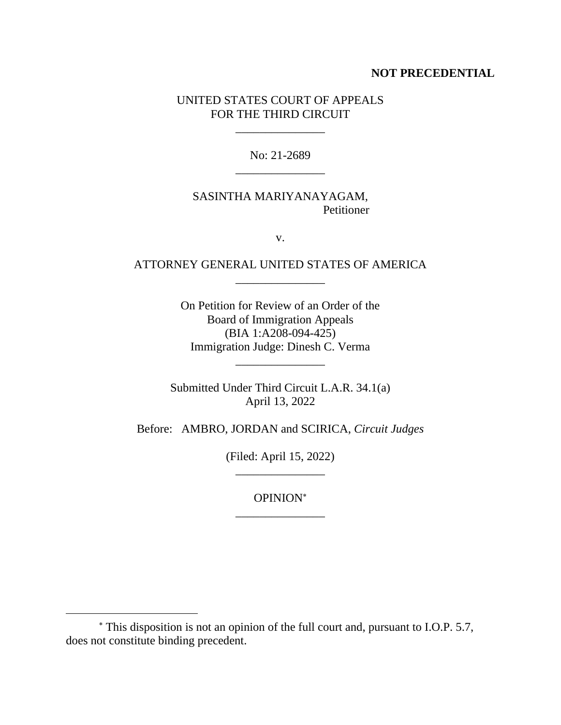#### **NOT PRECEDENTIAL**

#### UNITED STATES COURT OF APPEALS FOR THE THIRD CIRCUIT

\_\_\_\_\_\_\_\_\_\_\_\_\_\_\_

No: 21-2689 \_\_\_\_\_\_\_\_\_\_\_\_\_\_\_

### SASINTHA MARIYANAYAGAM, Petitioner

v.

### ATTORNEY GENERAL UNITED STATES OF AMERICA \_\_\_\_\_\_\_\_\_\_\_\_\_\_\_

On Petition for Review of an Order of the Board of Immigration Appeals (BIA 1:A208-094-425) Immigration Judge: Dinesh C. Verma

\_\_\_\_\_\_\_\_\_\_\_\_\_\_\_

Submitted Under Third Circuit L.A.R. 34.1(a) April 13, 2022

Before: AMBRO, JORDAN and SCIRICA, *Circuit Judges*

(Filed: April 15, 2022) \_\_\_\_\_\_\_\_\_\_\_\_\_\_\_

OPINION \_\_\_\_\_\_\_\_\_\_\_\_\_\_\_

This disposition is not an opinion of the full court and, pursuant to I.O.P. 5.7, does not constitute binding precedent.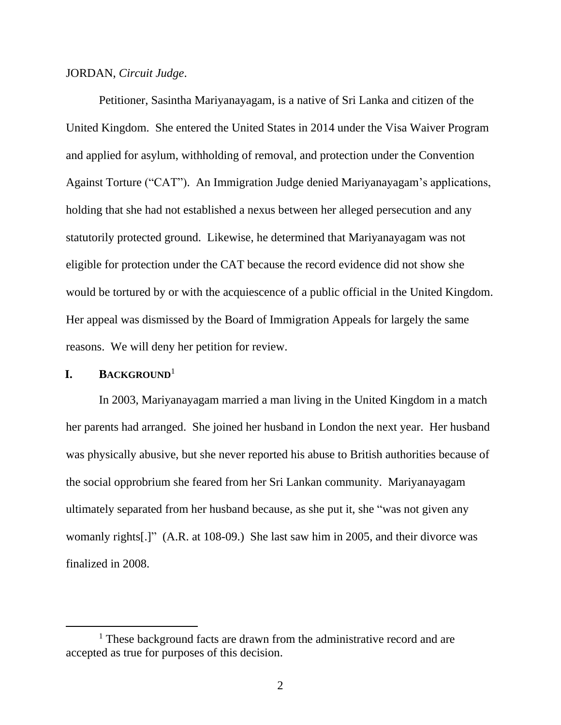#### JORDAN, *Circuit Judge*.

Petitioner, Sasintha Mariyanayagam, is a native of Sri Lanka and citizen of the United Kingdom. She entered the United States in 2014 under the Visa Waiver Program and applied for asylum, withholding of removal, and protection under the Convention Against Torture ("CAT"). An Immigration Judge denied Mariyanayagam's applications, holding that she had not established a nexus between her alleged persecution and any statutorily protected ground. Likewise, he determined that Mariyanayagam was not eligible for protection under the CAT because the record evidence did not show she would be tortured by or with the acquiescence of a public official in the United Kingdom. Her appeal was dismissed by the Board of Immigration Appeals for largely the same reasons. We will deny her petition for review.

#### **I. BACKGROUND**<sup>1</sup>

In 2003, Mariyanayagam married a man living in the United Kingdom in a match her parents had arranged. She joined her husband in London the next year. Her husband was physically abusive, but she never reported his abuse to British authorities because of the social opprobrium she feared from her Sri Lankan community. Mariyanayagam ultimately separated from her husband because, as she put it, she "was not given any womanly rights[.]" (A.R. at 108-09.) She last saw him in 2005, and their divorce was finalized in 2008.

<sup>&</sup>lt;sup>1</sup> These background facts are drawn from the administrative record and are accepted as true for purposes of this decision.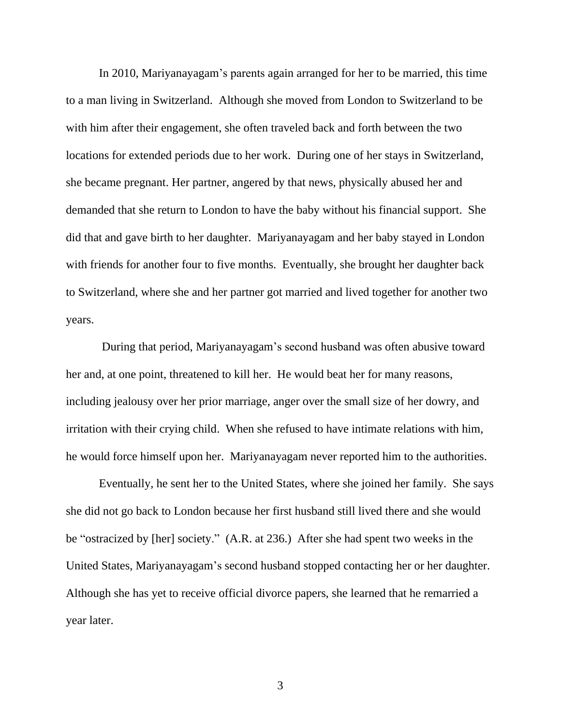In 2010, Mariyanayagam's parents again arranged for her to be married, this time to a man living in Switzerland. Although she moved from London to Switzerland to be with him after their engagement, she often traveled back and forth between the two locations for extended periods due to her work. During one of her stays in Switzerland, she became pregnant. Her partner, angered by that news, physically abused her and demanded that she return to London to have the baby without his financial support. She did that and gave birth to her daughter. Mariyanayagam and her baby stayed in London with friends for another four to five months. Eventually, she brought her daughter back to Switzerland, where she and her partner got married and lived together for another two years.

During that period, Mariyanayagam's second husband was often abusive toward her and, at one point, threatened to kill her. He would beat her for many reasons, including jealousy over her prior marriage, anger over the small size of her dowry, and irritation with their crying child. When she refused to have intimate relations with him, he would force himself upon her. Mariyanayagam never reported him to the authorities.

Eventually, he sent her to the United States, where she joined her family. She says she did not go back to London because her first husband still lived there and she would be "ostracized by [her] society." (A.R. at 236.) After she had spent two weeks in the United States, Mariyanayagam's second husband stopped contacting her or her daughter. Although she has yet to receive official divorce papers, she learned that he remarried a year later.

3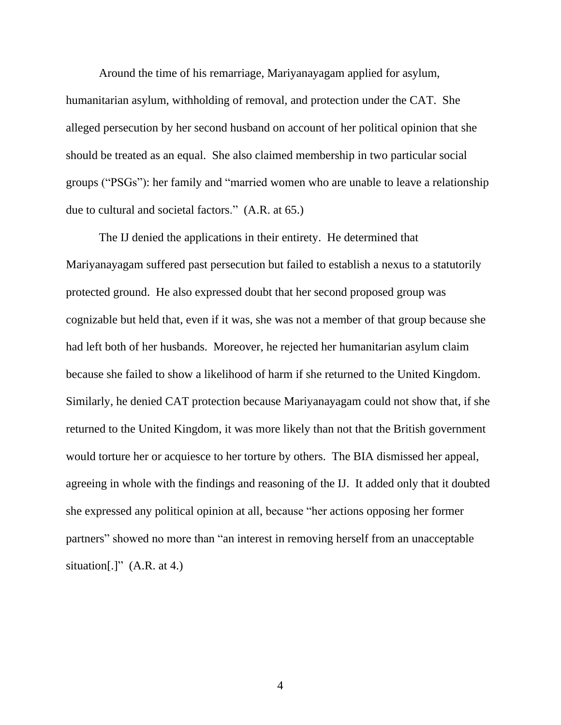Around the time of his remarriage, Mariyanayagam applied for asylum, humanitarian asylum, withholding of removal, and protection under the CAT. She alleged persecution by her second husband on account of her political opinion that she should be treated as an equal. She also claimed membership in two particular social groups ("PSGs"): her family and "married women who are unable to leave a relationship due to cultural and societal factors." (A.R. at 65.)

The IJ denied the applications in their entirety. He determined that Mariyanayagam suffered past persecution but failed to establish a nexus to a statutorily protected ground. He also expressed doubt that her second proposed group was cognizable but held that, even if it was, she was not a member of that group because she had left both of her husbands. Moreover, he rejected her humanitarian asylum claim because she failed to show a likelihood of harm if she returned to the United Kingdom. Similarly, he denied CAT protection because Mariyanayagam could not show that, if she returned to the United Kingdom, it was more likely than not that the British government would torture her or acquiesce to her torture by others. The BIA dismissed her appeal, agreeing in whole with the findings and reasoning of the IJ. It added only that it doubted she expressed any political opinion at all, because "her actions opposing her former partners" showed no more than "an interest in removing herself from an unacceptable situation[.]"  $(A.R. at 4.)$ 

4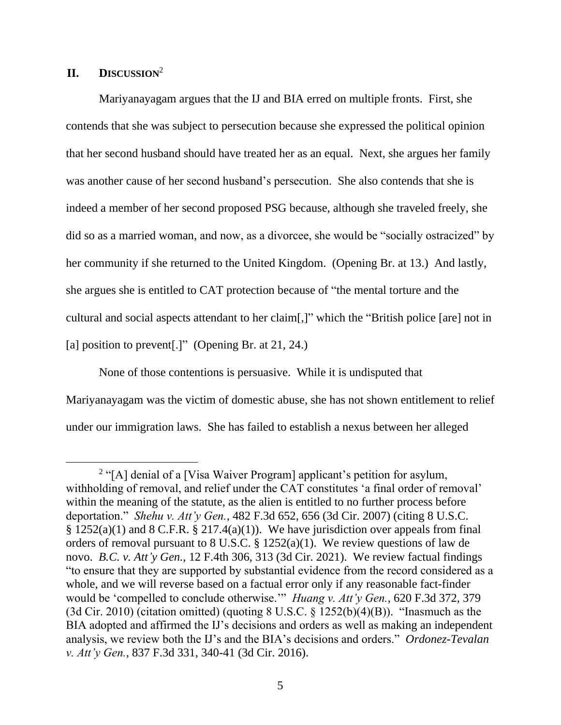### **II. DISCUSSION**<sup>2</sup>

Mariyanayagam argues that the IJ and BIA erred on multiple fronts. First, she contends that she was subject to persecution because she expressed the political opinion that her second husband should have treated her as an equal. Next, she argues her family was another cause of her second husband's persecution. She also contends that she is indeed a member of her second proposed PSG because, although she traveled freely, she did so as a married woman, and now, as a divorcee, she would be "socially ostracized" by her community if she returned to the United Kingdom. (Opening Br. at 13.) And lastly, she argues she is entitled to CAT protection because of "the mental torture and the cultural and social aspects attendant to her claim[,]" which the "British police [are] not in [a] position to prevent<sup>[1]</sup>" (Opening Br. at 21, 24.)

None of those contentions is persuasive. While it is undisputed that Mariyanayagam was the victim of domestic abuse, she has not shown entitlement to relief under our immigration laws. She has failed to establish a nexus between her alleged

 $2$  "[A] denial of a [Visa Waiver Program] applicant's petition for asylum, withholding of removal, and relief under the CAT constitutes 'a final order of removal' within the meaning of the statute, as the alien is entitled to no further process before deportation." *Shehu v. Att'y Gen.*, 482 F.3d 652, 656 (3d Cir. 2007) (citing 8 U.S.C.  $§ 1252(a)(1)$  and  $§ C.F.R. § 217.4(a)(1)$ . We have jurisdiction over appeals from final orders of removal pursuant to 8 U.S.C. § 1252(a)(1). We review questions of law de novo. *B.C. v. Att'y Gen.*, 12 F.4th 306, 313 (3d Cir. 2021). We review factual findings "to ensure that they are supported by substantial evidence from the record considered as a whole, and we will reverse based on a factual error only if any reasonable fact-finder would be 'compelled to conclude otherwise.'" *Huang v. Att'y Gen.*, 620 F.3d 372, 379  $(3d Cir. 2010)$  (citation omitted) (quoting 8 U.S.C. § 1252(b)(4)(B)). "Inasmuch as the BIA adopted and affirmed the IJ's decisions and orders as well as making an independent analysis, we review both the IJ's and the BIA's decisions and orders." *Ordonez-Tevalan v. Att'y Gen.*, 837 F.3d 331, 340-41 (3d Cir. 2016).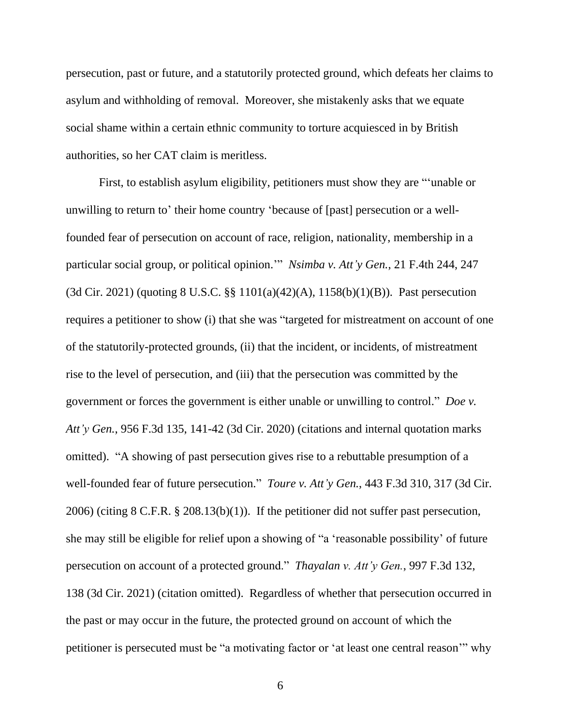persecution, past or future, and a statutorily protected ground, which defeats her claims to asylum and withholding of removal. Moreover, she mistakenly asks that we equate social shame within a certain ethnic community to torture acquiesced in by British authorities, so her CAT claim is meritless.

First, to establish asylum eligibility, petitioners must show they are "'unable or unwilling to return to' their home country 'because of [past] persecution or a wellfounded fear of persecution on account of race, religion, nationality, membership in a particular social group, or political opinion.'" *Nsimba v. Att'y Gen.*, 21 F.4th 244, 247 (3d Cir. 2021) (quoting 8 U.S.C. §§ 1101(a)(42)(A), 1158(b)(1)(B)). Past persecution requires a petitioner to show (i) that she was "targeted for mistreatment on account of one of the statutorily-protected grounds, (ii) that the incident, or incidents, of mistreatment rise to the level of persecution, and (iii) that the persecution was committed by the government or forces the government is either unable or unwilling to control." *Doe v. Att'y Gen.*, 956 F.3d 135, 141-42 (3d Cir. 2020) (citations and internal quotation marks omitted). "A showing of past persecution gives rise to a rebuttable presumption of a well-founded fear of future persecution." *Toure v. Att'y Gen.*, 443 F.3d 310, 317 (3d Cir. 2006) (citing 8 C.F.R. § 208.13(b)(1)). If the petitioner did not suffer past persecution, she may still be eligible for relief upon a showing of "a 'reasonable possibility' of future persecution on account of a protected ground." *Thayalan v. Att'y Gen.*, 997 F.3d 132, 138 (3d Cir. 2021) (citation omitted). Regardless of whether that persecution occurred in the past or may occur in the future, the protected ground on account of which the petitioner is persecuted must be "a motivating factor or 'at least one central reason'" why

6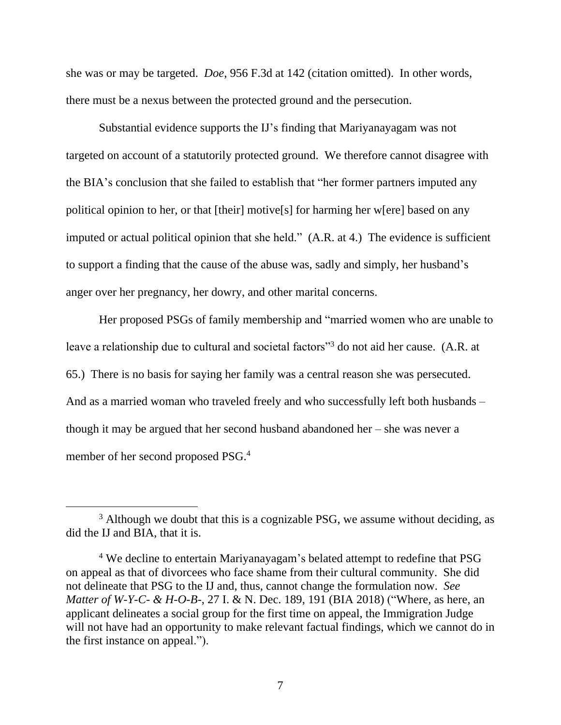she was or may be targeted. *Doe*, 956 F.3d at 142 (citation omitted). In other words, there must be a nexus between the protected ground and the persecution.

Substantial evidence supports the IJ's finding that Mariyanayagam was not targeted on account of a statutorily protected ground. We therefore cannot disagree with the BIA's conclusion that she failed to establish that "her former partners imputed any political opinion to her, or that [their] motive[s] for harming her w[ere] based on any imputed or actual political opinion that she held." (A.R. at 4.) The evidence is sufficient to support a finding that the cause of the abuse was, sadly and simply, her husband's anger over her pregnancy, her dowry, and other marital concerns.

Her proposed PSGs of family membership and "married women who are unable to leave a relationship due to cultural and societal factors"<sup>3</sup> do not aid her cause. (A.R. at 65.) There is no basis for saying her family was a central reason she was persecuted. And as a married woman who traveled freely and who successfully left both husbands – though it may be argued that her second husband abandoned her – she was never a member of her second proposed PSG.<sup>4</sup>

<sup>&</sup>lt;sup>3</sup> Although we doubt that this is a cognizable PSG, we assume without deciding, as did the IJ and BIA, that it is.

<sup>4</sup> We decline to entertain Mariyanayagam's belated attempt to redefine that PSG on appeal as that of divorcees who face shame from their cultural community. She did not delineate that PSG to the IJ and, thus, cannot change the formulation now. *See Matter of W-Y-C- & H-O-B-*, 27 I. & N. Dec. 189, 191 (BIA 2018) ("Where, as here, an applicant delineates a social group for the first time on appeal, the Immigration Judge will not have had an opportunity to make relevant factual findings, which we cannot do in the first instance on appeal.").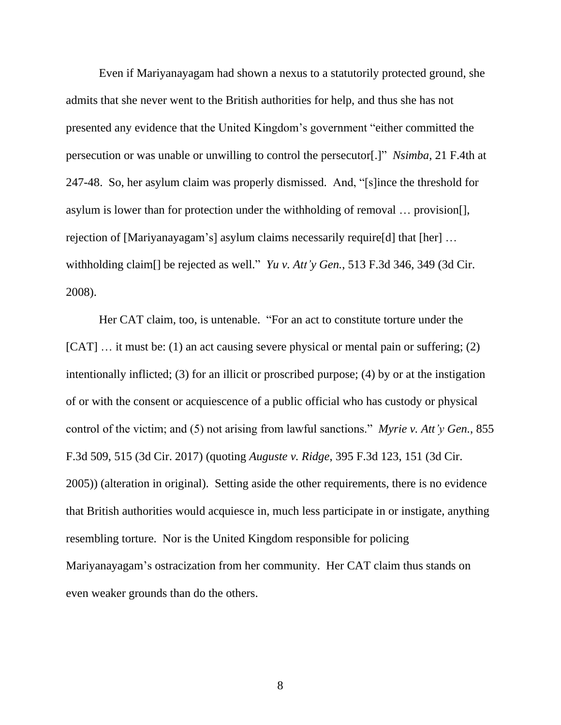Even if Mariyanayagam had shown a nexus to a statutorily protected ground, she admits that she never went to the British authorities for help, and thus she has not presented any evidence that the United Kingdom's government "either committed the persecution or was unable or unwilling to control the persecutor[.]" *Nsimba*, 21 F.4th at 247-48. So, her asylum claim was properly dismissed. And, "[s]ince the threshold for asylum is lower than for protection under the withholding of removal … provision[], rejection of [Mariyanayagam's] asylum claims necessarily require[d] that [her] … withholding claim[] be rejected as well." *Yu v. Att'y Gen.*, 513 F.3d 346, 349 (3d Cir. 2008).

Her CAT claim, too, is untenable. "For an act to constitute torture under the [CAT] ... it must be: (1) an act causing severe physical or mental pain or suffering; (2) intentionally inflicted; (3) for an illicit or proscribed purpose; (4) by or at the instigation of or with the consent or acquiescence of a public official who has custody or physical control of the victim; and (5) not arising from lawful sanctions." *Myrie v. Att'y Gen.*, 855 F.3d 509, 515 (3d Cir. 2017) (quoting *Auguste v. Ridge*, 395 F.3d 123, 151 (3d Cir. 2005)) (alteration in original). Setting aside the other requirements, there is no evidence that British authorities would acquiesce in, much less participate in or instigate, anything resembling torture. Nor is the United Kingdom responsible for policing Mariyanayagam's ostracization from her community. Her CAT claim thus stands on even weaker grounds than do the others.